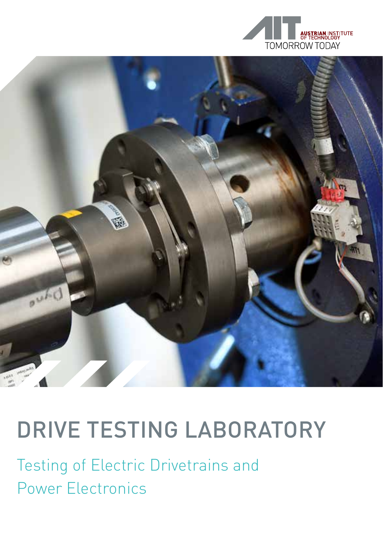



## DRIVE TESTING LABORATORY

Testing of Electric Drivetrains and Power Electronics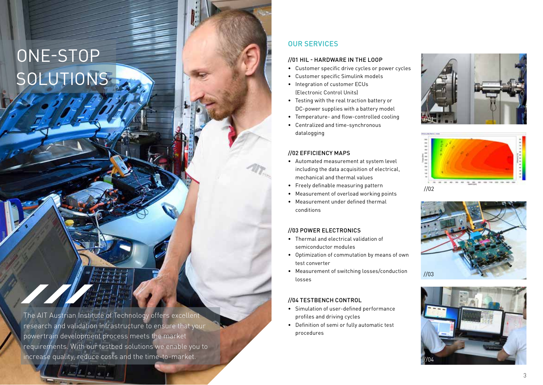# ONE-STOP **SOLUTIONS**

The AIT Austrian Institute of Technology offers excellent research and validation infrastructure to ensure that your powertrain development process meets the market requirements. With our testbed solutions we enable you to increase quality, reduce costs and the time-to-market.

### OUR SERVICES

#### //01 HIL - HARDWARE IN THE LOOP

- Customer specific drive cycles or power cycles
- Customer specific Simulink models
- Integration of customer ECUs (Electronic Control Units)
- Testing with the real traction battery or DC-power supplies with a battery model
- Temperature- and flow-controlled cooling
- Centralized and time-synchronous datalogging

#### //02 EFFICIENCY MAPS

- Automated measurement at system level including the data acquisition of electrical, mechanical and thermal values
- Freely definable measuring pattern
- Measurement of overload working points
- Measurement under defined thermal conditions

#### //03 POWER ELECTRONICS

- Thermal and electrical validation of semiconductor modules
- Optimization of commutation by means of own test converter
- Measurement of switching losses/conduction losses

#### //04 TESTBENCH CONTROL

- Simulation of user-defined performance profiles and driving cycles
- Definition of semi or fully automatic test procedures







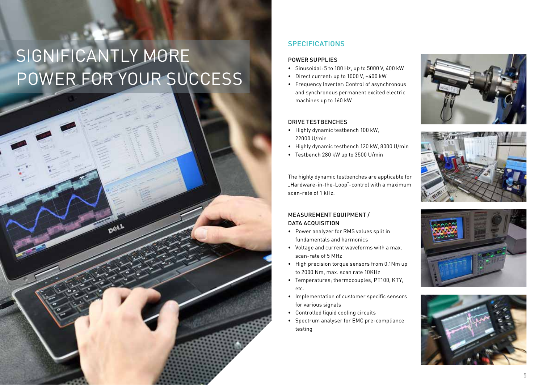# SIGNIFICANTLY MORE POWER FOR YOUR SUCCESS

### **SPECIFICATIONS**

#### POWER SUPPLIES

- Sinusoidal: 5 to 180 Hz, up to 5000 V, 400 kW
- Direct current: up to 1000 V, ±400 kW
- Frequency Inverter: Control of asynchronous and synchronous permanent excited electric machines up to 160 kW

#### DRIVE TESTBENCHES

- Highly dynamic testbench 100 kW, 22000 U/min
- Highly dynamic testbench 120 kW, 8000 U/min
- Testbench 280 kW up to 3500 U/min

The highly dynamic testbenches are applicable for "Hardware-in-the-Loop"-control with a maximum scan-rate of 1 kHz.

#### MEASUREMENT EQUIPMENT / DATA ACQUISITION

- Power analyzer for RMS values split in fundamentals and harmonics
- Voltage and current waveforms with a max. scan-rate of 5 MHz
- High precision torque sensors from 0.1Nm up to 2000 Nm, max. scan rate 10KHz
- Temperatures; thermocouples, PT100, KTY, etc.
- Implementation of customer specific sensors for various signals
- Controlled liquid cooling circuits
- Spectrum analyser for EMC pre-compliance testing